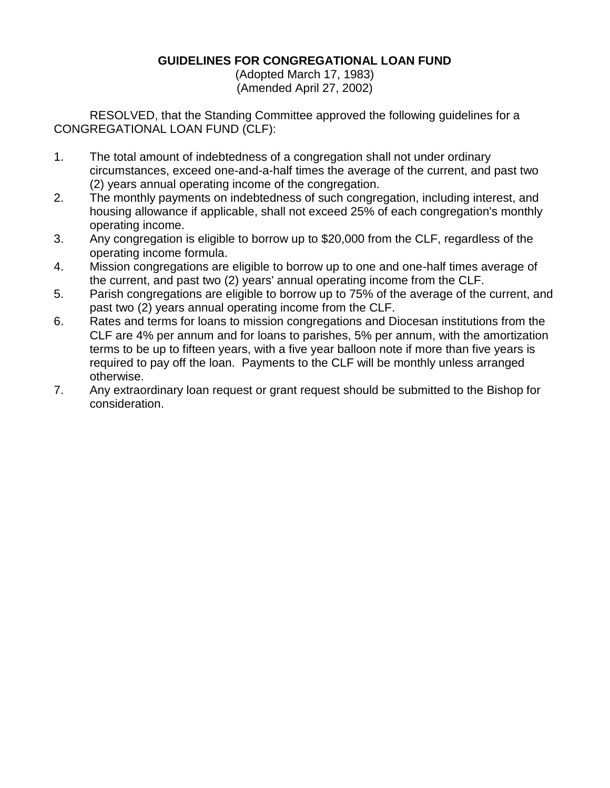## **GUIDELINES FOR CONGREGATIONAL LOAN FUND**

(Adopted March 17, 1983) (Amended April 27, 2002)

RESOLVED, that the Standing Committee approved the following guidelines for a CONGREGATIONAL LOAN FUND (CLF):

- 1. The total amount of indebtedness of a congregation shall not under ordinary circumstances, exceed one-and-a-half times the average of the current, and past two (2) years annual operating income of the congregation.
- 2. The monthly payments on indebtedness of such congregation, including interest, and housing allowance if applicable, shall not exceed 25% of each congregation's monthly operating income.
- 3. Any congregation is eligible to borrow up to \$20,000 from the CLF, regardless of the operating income formula.
- 4. Mission congregations are eligible to borrow up to one and one-half times average of the current, and past two (2) years' annual operating income from the CLF.
- 5. Parish congregations are eligible to borrow up to 75% of the average of the current, and past two (2) years annual operating income from the CLF.
- 6. Rates and terms for loans to mission congregations and Diocesan institutions from the CLF are 4% per annum and for loans to parishes, 5% per annum, with the amortization terms to be up to fifteen years, with a five year balloon note if more than five years is required to pay off the loan. Payments to the CLF will be monthly unless arranged otherwise.
- 7. Any extraordinary loan request or grant request should be submitted to the Bishop for consideration.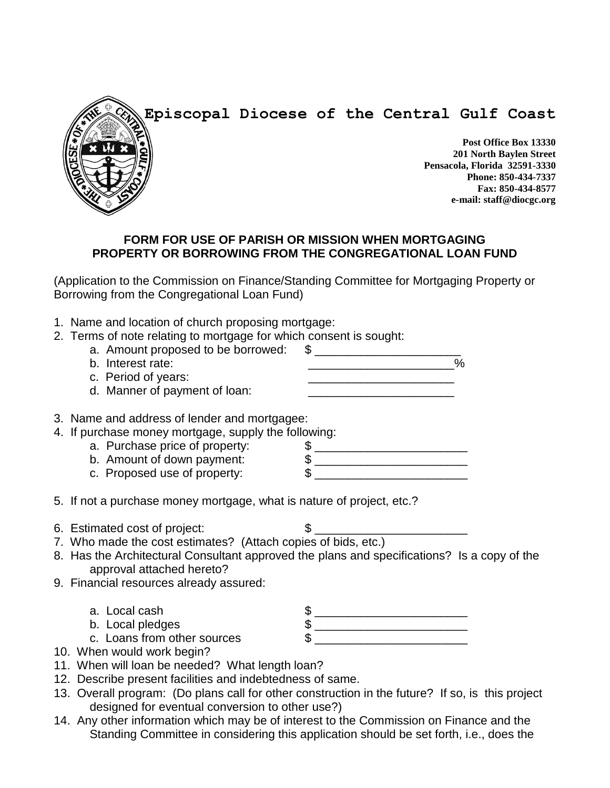



**Post Office Box 13330 201 North Baylen Street Pensacola, Florida 32591-3330 Phone: 850-434-7337 Fax: 850-434-8577 e-mail: staff@diocgc.org**

## **FORM FOR USE OF PARISH OR MISSION WHEN MORTGAGING PROPERTY OR BORROWING FROM THE CONGREGATIONAL LOAN FUND**

(Application to the Commission on Finance/Standing Committee for Mortgaging Property or Borrowing from the Congregational Loan Fund)

- 1. Name and location of church proposing mortgage:
- 2. Terms of note relating to mortgage for which consent is sought:
	- a. Amount proposed to be borrowed:  $$$
	- b. Interest rate:  $\sim$  \_\_\_\_\_\_\_\_\_\_\_\_\_\_\_\_\_\_\_\_\_\_ %
		- c. Period of years: d. Manner of payment of loan:
- 3. Name and address of lender and mortgagee:
- 4. If purchase money mortgage, supply the following:<br>
a. Purchase price of property:  $\frac{1}{2}$ 
	- a. Purchase price of property: \$ \_\_\_\_\_\_\_\_\_\_\_\_\_\_\_\_\_\_\_\_\_\_\_
	- b. Amount of down payment: \$ \_\_\_\_\_\_\_\_\_\_\_\_\_\_\_\_\_\_\_\_\_\_\_
	- c. Proposed use of property: \$ \_\_\_\_\_\_\_\_\_\_\_\_\_\_\_\_\_\_\_\_\_\_\_
- 5. If not a purchase money mortgage, what is nature of project, etc.?
- 6. Estimated cost of project: \$ \_\_\_\_\_\_\_\_\_\_\_\_\_\_\_\_\_\_\_\_\_\_\_
- 7. Who made the cost estimates? (Attach copies of bids, etc.)
- 8. Has the Architectural Consultant approved the plans and specifications? Is a copy of the approval attached hereto?
- 9. Financial resources already assured:
	-
	-
	-
- 10. When would work begin?
- 11. When will loan be needed? What length loan?
- 12. Describe present facilities and indebtedness of same.
- 13. Overall program: (Do plans call for other construction in the future? If so, is this project designed for eventual conversion to other use?)
- 14. Any other information which may be of interest to the Commission on Finance and the Standing Committee in considering this application should be set forth, i.e., does the
- a. Local cash \$ \_\_\_\_\_\_\_\_\_\_\_\_\_\_\_\_\_\_\_\_\_\_\_ b. Local pledges \$ \_\_\_\_\_\_\_\_\_\_\_\_\_\_\_\_\_\_\_\_\_\_\_ c. Loans from other sources \$ \_\_\_\_\_\_\_\_\_\_\_\_\_\_\_\_\_\_\_\_\_\_\_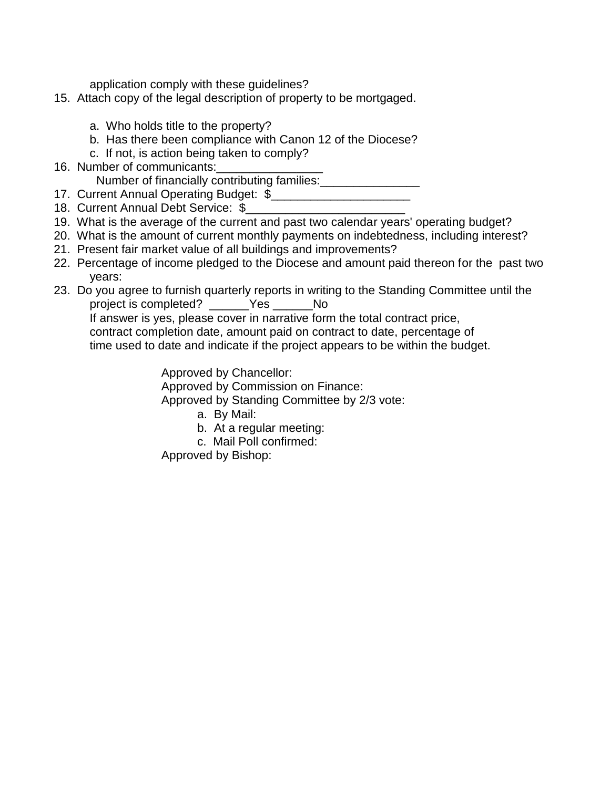application comply with these guidelines?

- 15. Attach copy of the legal description of property to be mortgaged.
	- a. Who holds title to the property?
	- b. Has there been compliance with Canon 12 of the Diocese?
	- c. If not, is action being taken to comply?
- 16. Number of communicants:

Number of financially contributing families:<br>

17. Current Annual Operating Budget: \$

- 18. Current Annual Debt Service: \$
- 19. What is the average of the current and past two calendar years' operating budget?
- 20. What is the amount of current monthly payments on indebtedness, including interest?
- 21. Present fair market value of all buildings and improvements?
- 22. Percentage of income pledged to the Diocese and amount paid thereon for the past two years:
- 23. Do you agree to furnish quarterly reports in writing to the Standing Committee until the project is completed? \_\_\_\_\_\_Yes \_\_\_\_\_\_No

If answer is yes, please cover in narrative form the total contract price, contract completion date, amount paid on contract to date, percentage of time used to date and indicate if the project appears to be within the budget.

Approved by Chancellor:

Approved by Commission on Finance:

Approved by Standing Committee by 2/3 vote:

- a. By Mail:
- b. At a regular meeting:
- c. Mail Poll confirmed:

Approved by Bishop: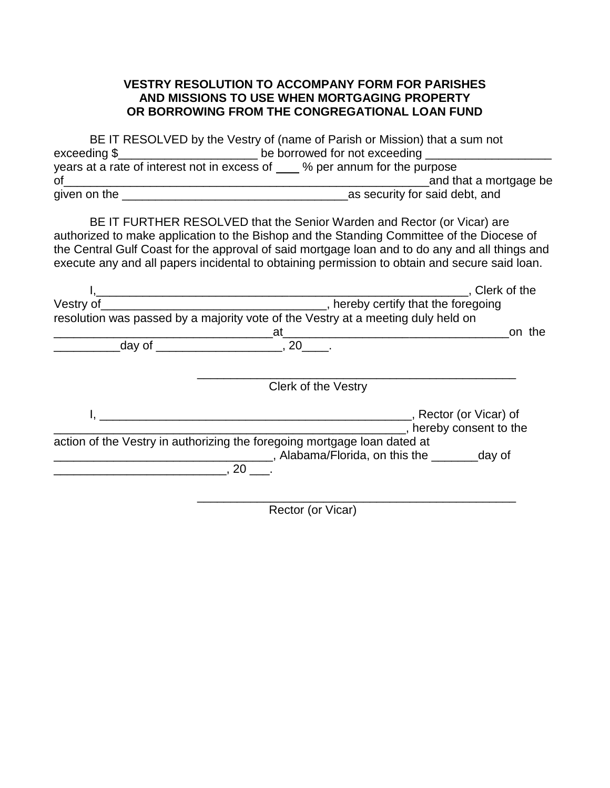## **VESTRY RESOLUTION TO ACCOMPANY FORM FOR PARISHES AND MISSIONS TO USE WHEN MORTGAGING PROPERTY OR BORROWING FROM THE CONGREGATIONAL LOAN FUND**

BE IT RESOLVED by the Vestry of (name of Parish or Mission) that a sum not exceeding \$\_\_\_\_\_\_\_\_\_\_\_\_\_\_\_\_\_\_\_\_\_ be borrowed for not exceeding \_\_\_\_\_\_\_\_\_\_\_\_\_\_\_\_\_\_\_ years at a rate of interest not in excess of \_\_\_\_ % per annum for the purpose of\_\_\_\_\_\_\_\_\_\_\_\_\_\_\_\_\_\_\_\_\_\_\_\_\_\_\_\_\_\_\_\_\_\_\_\_\_\_\_\_\_\_\_\_\_\_\_\_\_\_\_\_\_\_\_and that a mortgage be given on the \_\_\_\_\_\_\_\_\_\_\_\_\_\_\_\_\_\_\_\_\_\_\_\_\_\_\_\_\_\_\_\_\_\_as security for said debt, and

BE IT FURTHER RESOLVED that the Senior Warden and Rector (or Vicar) are authorized to make application to the Bishop and the Standing Committee of the Diocese of the Central Gulf Coast for the approval of said mortgage loan and to do any and all things and execute any and all papers incidental to obtaining permission to obtain and secure said loan.

|           |                                                                                  | Clerk of the          |
|-----------|----------------------------------------------------------------------------------|-----------------------|
| Vestry of | _, hereby certify that the foregoing                                             |                       |
|           | resolution was passed by a majority vote of the Vestry at a meeting duly held on |                       |
|           | at                                                                               | on the                |
| day of    | $, 20$ $, 20$                                                                    |                       |
|           |                                                                                  |                       |
|           | Clerk of the Vestry                                                              |                       |
|           | ___, Rector (or Vicar) of                                                        |                       |
|           |                                                                                  | hereby consent to the |
|           | action of the Vestry in authorizing the foregoing mortgage loan dated at         |                       |
|           | Alabama/Florida, on this the day of                                              |                       |
|           | 20                                                                               |                       |
|           |                                                                                  |                       |
|           |                                                                                  |                       |

Rector (or Vicar)